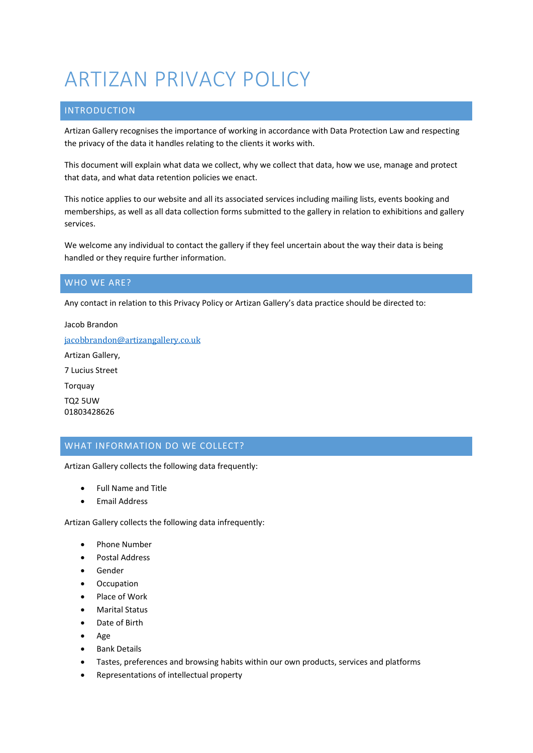# ARTIZAN PRIVACY POLICY

# INTRODUCTION

Artizan Gallery recognises the importance of working in accordance with Data Protection Law and respecting the privacy of the data it handles relating to the clients it works with.

This document will explain what data we collect, why we collect that data, how we use, manage and protect that data, and what data retention policies we enact.

This notice applies to our website and all its associated services including mailing lists, events booking and memberships, as well as all data collection forms submitted to the gallery in relation to exhibitions and gallery services.

We welcome any individual to contact the gallery if they feel uncertain about the way their data is being handled or they require further information.

### WHO WE ARE?

Any contact in relation to this Privacy Policy or Artizan Gallery's data practice should be directed to:

Jacob Brandon [jacobbrandon@artizangallery.co.uk](mailto:jacobbrandon@artizangallery.co.uk) Artizan Gallery, 7 Lucius Street Torquay TQ2 5UW 01803428626

# WHAT INFORMATION DO WE COLLECT?

Artizan Gallery collects the following data frequently:

- Full Name and Title
- Email Address

Artizan Gallery collects the following data infrequently:

- Phone Number
- Postal Address
- Gender
- Occupation
- Place of Work
- Marital Status
- Date of Birth
- Age
- Bank Details
- Tastes, preferences and browsing habits within our own products, services and platforms
- Representations of intellectual property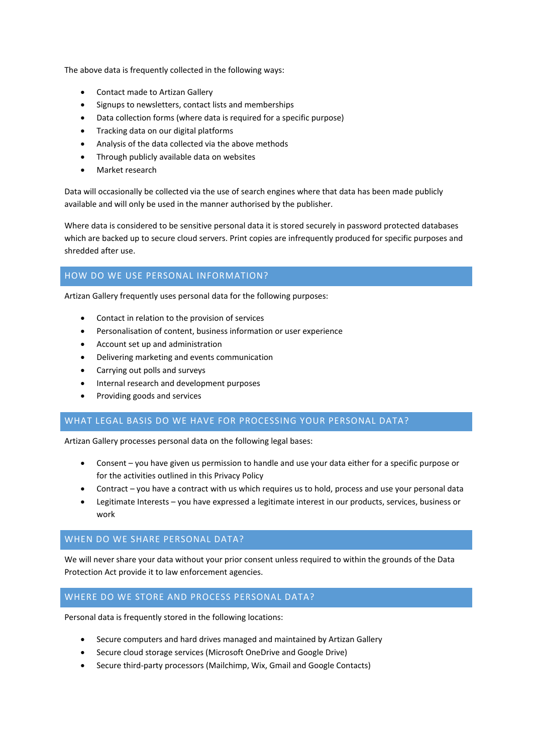The above data is frequently collected in the following ways:

- Contact made to Artizan Gallery
- Signups to newsletters, contact lists and memberships
- Data collection forms (where data is required for a specific purpose)
- Tracking data on our digital platforms
- Analysis of the data collected via the above methods
- Through publicly available data on websites
- Market research

Data will occasionally be collected via the use of search engines where that data has been made publicly available and will only be used in the manner authorised by the publisher.

Where data is considered to be sensitive personal data it is stored securely in password protected databases which are backed up to secure cloud servers. Print copies are infrequently produced for specific purposes and shredded after use.

# HOW DO WE USE PERSONAL INFORMATION?

Artizan Gallery frequently uses personal data for the following purposes:

- Contact in relation to the provision of services
- Personalisation of content, business information or user experience
- Account set up and administration
- Delivering marketing and events communication
- Carrying out polls and surveys
- Internal research and development purposes
- Providing goods and services

### WHAT LEGAL BASIS DO WE HAVE FOR PROCESSING YOUR PERSONAL DATA?

Artizan Gallery processes personal data on the following legal bases:

- Consent you have given us permission to handle and use your data either for a specific purpose or for the activities outlined in this Privacy Policy
- Contract you have a contract with us which requires us to hold, process and use your personal data
- Legitimate Interests you have expressed a legitimate interest in our products, services, business or work

#### WHEN DO WE SHARE PERSONAL DATA?

We will never share your data without your prior consent unless required to within the grounds of the Data Protection Act provide it to law enforcement agencies.

### WHERE DO WE STORE AND PROCESS PERSONAL DATA?

Personal data is frequently stored in the following locations:

- Secure computers and hard drives managed and maintained by Artizan Gallery
- Secure cloud storage services (Microsoft OneDrive and Google Drive)
- Secure third-party processors (Mailchimp, Wix, Gmail and Google Contacts)